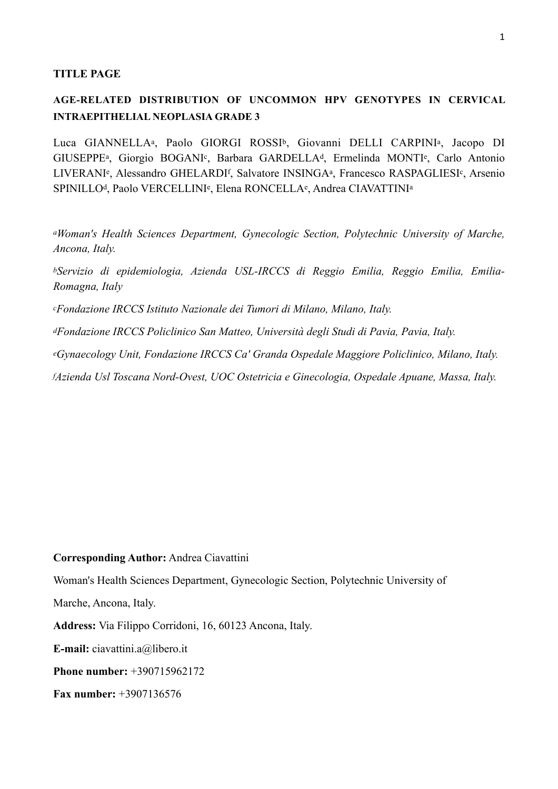### **TITLE PAGE**

# **AGE-RELATED DISTRIBUTION OF UNCOMMON HPV GENOTYPES IN CERVICAL INTRAEPITHELIAL NEOPLASIA GRADE 3**

Luca GIANNELLA<sup>a</sup>, Paolo GIORGI ROSSI<sup>b</sup>, Giovanni DELLI CARPINI<sup>a</sup>, Jacopo DI GIUSEPPEa, Giorgio BOGANIc, Barbara GARDELLAd, Ermelinda MONTIe, Carlo Antonio LIVERANIe, Alessandro GHELARDIf, Salvatore INSINGAa, Francesco RASPAGLIESIc, Arsenio SPINILLOd, Paolo VERCELLINIe, Elena RONCELLAe, Andrea CIAVATTINIa

*aWoman's Health Sciences Department, Gynecologic Section, Polytechnic University of Marche, Ancona, Italy.* 

*bServizio di epidemiologia, Azienda USL-IRCCS di Reggio Emilia, Reggio Emilia, Emilia-Romagna, Italy* 

*cFondazione IRCCS Istituto Nazionale dei Tumori di Milano, Milano, Italy.* 

*dFondazione IRCCS Policlinico San Matteo, Università degli Studi di Pavia, Pavia, Italy.* 

*eGynaecology Unit, Fondazione IRCCS Ca' Granda Ospedale Maggiore Policlinico, Milano, Italy.* 

*f Azienda Usl Toscana Nord-Ovest, UOC Ostetricia e Ginecologia, Ospedale Apuane, Massa, Italy.* 

## **Corresponding Author:** Andrea Ciavattini

Woman's Health Sciences Department, Gynecologic Section, Polytechnic University of

Marche, Ancona, Italy.

**Address:** Via Filippo Corridoni, 16, 60123 Ancona, Italy.

**E-mail:** ciavattini.a@libero.it

**Phone number:** +390715962172

**Fax number:** +3907136576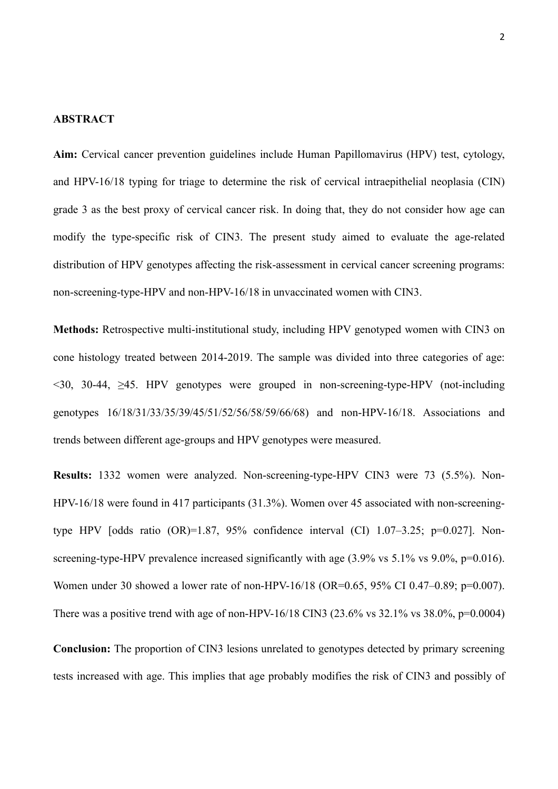# **ABSTRACT**

**Aim:** Cervical cancer prevention guidelines include Human Papillomavirus (HPV) test, cytology, and HPV-16/18 typing for triage to determine the risk of cervical intraepithelial neoplasia (CIN) grade 3 as the best proxy of cervical cancer risk. In doing that, they do not consider how age can modify the type-specific risk of CIN3. The present study aimed to evaluate the age-related distribution of HPV genotypes affecting the risk-assessment in cervical cancer screening programs: non-screening-type-HPV and non-HPV-16/18 in unvaccinated women with CIN3.

**Methods:** Retrospective multi-institutional study, including HPV genotyped women with CIN3 on cone histology treated between 2014-2019. The sample was divided into three categories of age: <30, 30-44, ≥45. HPV genotypes were grouped in non-screening-type-HPV (not-including genotypes 16/18/31/33/35/39/45/51/52/56/58/59/66/68) and non-HPV-16/18. Associations and trends between different age-groups and HPV genotypes were measured.

**Results:** 1332 women were analyzed. Non-screening-type-HPV CIN3 were 73 (5.5%). Non-HPV-16/18 were found in 417 participants (31.3%). Women over 45 associated with non-screeningtype HPV [odds ratio  $(OR)=1.87$ , 95% confidence interval  $(CI)$  1.07–3.25; p=0.027]. Nonscreening-type-HPV prevalence increased significantly with age  $(3.9\% \text{ vs } 5.1\% \text{ vs } 9.0\%, \text{p=0.016}).$ Women under 30 showed a lower rate of non-HPV-16/18 (OR=0.65, 95% CI 0.47–0.89; p=0.007). There was a positive trend with age of non-HPV-16/18 CIN3 (23.6% vs 32.1% vs 38.0%, p=0.0004)

**Conclusion:** The proportion of CIN3 lesions unrelated to genotypes detected by primary screening tests increased with age. This implies that age probably modifies the risk of CIN3 and possibly of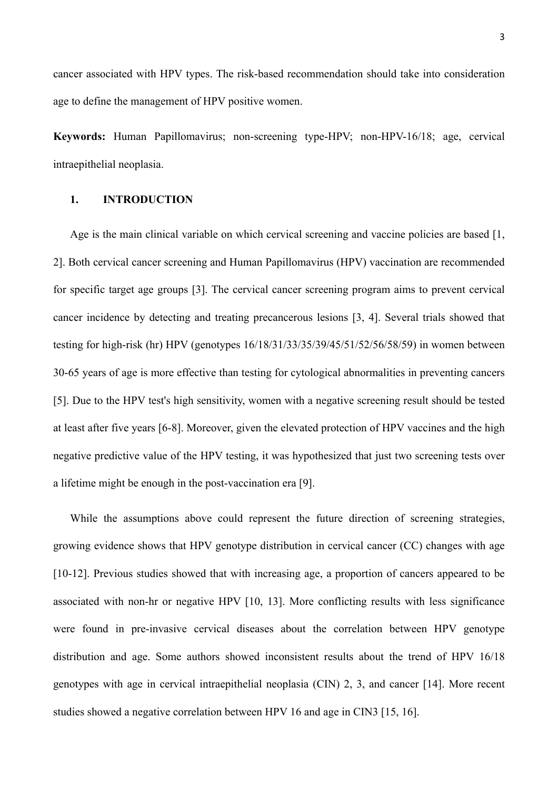cancer associated with HPV types. The risk-based recommendation should take into consideration age to define the management of HPV positive women.

**Keywords:** Human Papillomavirus; non-screening type-HPV; non-HPV-16/18; age, cervical intraepithelial neoplasia.

## **1. INTRODUCTION**

Age is the main clinical variable on which cervical screening and vaccine policies are based [1, 2]. Both cervical cancer screening and Human Papillomavirus (HPV) vaccination are recommended for specific target age groups [3]. The cervical cancer screening program aims to prevent cervical cancer incidence by detecting and treating precancerous lesions [3, 4]. Several trials showed that testing for high-risk (hr) HPV (genotypes 16/18/31/33/35/39/45/51/52/56/58/59) in women between 30-65 years of age is more effective than testing for cytological abnormalities in preventing cancers [5]. Due to the HPV test's high sensitivity, women with a negative screening result should be tested at least after five years [6-8]. Moreover, given the elevated protection of HPV vaccines and the high negative predictive value of the HPV testing, it was hypothesized that just two screening tests over a lifetime might be enough in the post-vaccination era [9].

While the assumptions above could represent the future direction of screening strategies, growing evidence shows that HPV genotype distribution in cervical cancer (CC) changes with age [10-12]. Previous studies showed that with increasing age, a proportion of cancers appeared to be associated with non-hr or negative HPV [10, 13]. More conflicting results with less significance were found in pre-invasive cervical diseases about the correlation between HPV genotype distribution and age. Some authors showed inconsistent results about the trend of HPV 16/18 genotypes with age in cervical intraepithelial neoplasia (CIN) 2, 3, and cancer [14]. More recent studies showed a negative correlation between HPV 16 and age in CIN3 [15, 16].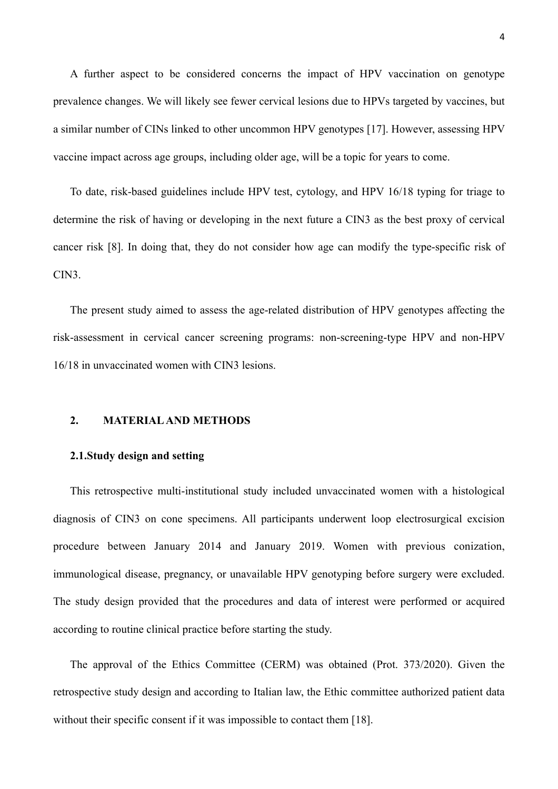A further aspect to be considered concerns the impact of HPV vaccination on genotype prevalence changes. We will likely see fewer cervical lesions due to HPVs targeted by vaccines, but a similar number of CINs linked to other uncommon HPV genotypes [17]. However, assessing HPV vaccine impact across age groups, including older age, will be a topic for years to come.

To date, risk-based guidelines include HPV test, cytology, and HPV 16/18 typing for triage to determine the risk of having or developing in the next future a CIN3 as the best proxy of cervical cancer risk [8]. In doing that, they do not consider how age can modify the type-specific risk of CIN3.

The present study aimed to assess the age-related distribution of HPV genotypes affecting the risk-assessment in cervical cancer screening programs: non-screening-type HPV and non-HPV 16/18 in unvaccinated women with CIN3 lesions.

### **2. MATERIAL AND METHODS**

#### **2.1.Study design and setting**

This retrospective multi-institutional study included unvaccinated women with a histological diagnosis of CIN3 on cone specimens. All participants underwent loop electrosurgical excision procedure between January 2014 and January 2019. Women with previous conization, immunological disease, pregnancy, or unavailable HPV genotyping before surgery were excluded. The study design provided that the procedures and data of interest were performed or acquired according to routine clinical practice before starting the study.

The approval of the Ethics Committee (CERM) was obtained (Prot. 373/2020). Given the retrospective study design and according to Italian law, the Ethic committee authorized patient data without their specific consent if it was impossible to contact them [18].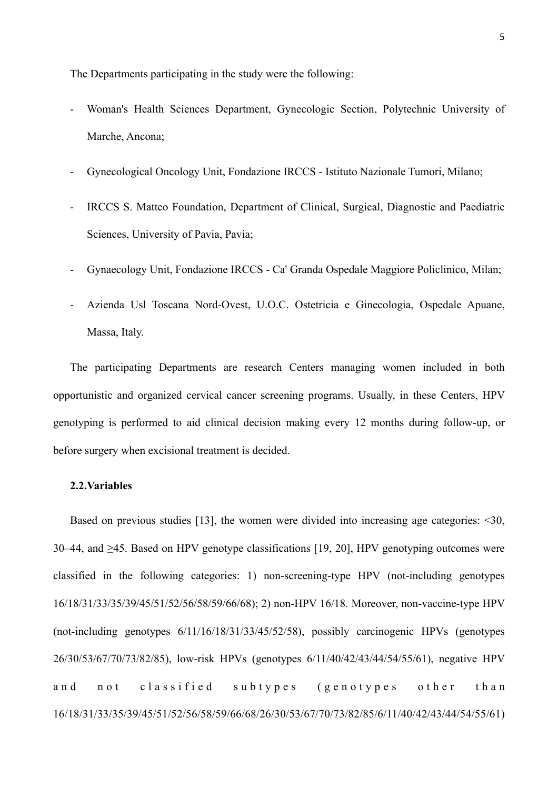The Departments participating in the study were the following:

- Woman's Health Sciences Department, Gynecologic Section, Polytechnic University of Marche, Ancona;
- Gynecological Oncology Unit, Fondazione IRCCS Istituto Nazionale Tumori, Milano;
- IRCCS S. Matteo Foundation, Department of Clinical, Surgical, Diagnostic and Paediatric Sciences, University of Pavia, Pavia;
- Gynaecology Unit, Fondazione IRCCS Ca' Granda Ospedale Maggiore Policlinico, Milan;
- Azienda Usl Toscana Nord-Ovest, U.O.C. Ostetricia e Ginecologia, Ospedale Apuane, Massa, Italy.

The participating Departments are research Centers managing women included in both opportunistic and organized cervical cancer screening programs. Usually, in these Centers, HPV genotyping is performed to aid clinical decision making every 12 months during follow-up, or before surgery when excisional treatment is decided.

## **2.2.Variables**

Based on previous studies [13], the women were divided into increasing age categories: <30, 30–44, and ≥45. Based on HPV genotype classifications [19, 20], HPV genotyping outcomes were classified in the following categories: 1) non-screening-type HPV (not-including genotypes 16/18/31/33/35/39/45/51/52/56/58/59/66/68); 2) non-HPV 16/18. Moreover, non-vaccine-type HPV (not-including genotypes 6/11/16/18/31/33/45/52/58), possibly carcinogenic HPVs (genotypes 26/30/53/67/70/73/82/85), low-risk HPVs (genotypes 6/11/40/42/43/44/54/55/61), negative HPV and not classified subtypes (genotypes other than 16/18/31/33/35/39/45/51/52/56/58/59/66/68/26/30/53/67/70/73/82/85/6/11/40/42/43/44/54/55/61)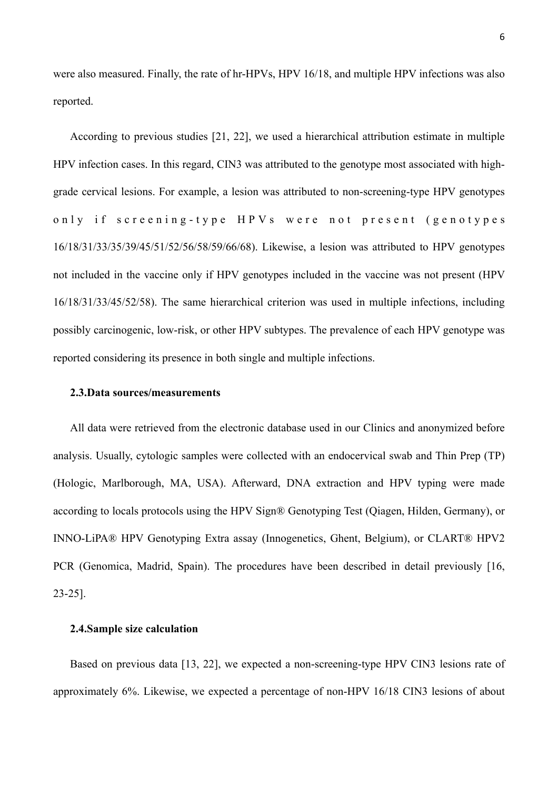were also measured. Finally, the rate of hr-HPVs, HPV 16/18, and multiple HPV infections was also reported.

According to previous studies [21, 22], we used a hierarchical attribution estimate in multiple HPV infection cases. In this regard, CIN3 was attributed to the genotype most associated with highgrade cervical lesions. For example, a lesion was attributed to non-screening-type HPV genotypes only if screening-type HPVs were not present (genotypes 16/18/31/33/35/39/45/51/52/56/58/59/66/68). Likewise, a lesion was attributed to HPV genotypes not included in the vaccine only if HPV genotypes included in the vaccine was not present (HPV 16/18/31/33/45/52/58). The same hierarchical criterion was used in multiple infections, including possibly carcinogenic, low-risk, or other HPV subtypes. The prevalence of each HPV genotype was reported considering its presence in both single and multiple infections.

## **2.3.Data sources/measurements**

All data were retrieved from the electronic database used in our Clinics and anonymized before analysis. Usually, cytologic samples were collected with an endocervical swab and Thin Prep (TP) (Hologic, Marlborough, MA, USA). Afterward, DNA extraction and HPV typing were made according to locals protocols using the HPV Sign® Genotyping Test (Qiagen, Hilden, Germany), or INNO-LiPA® HPV Genotyping Extra assay (Innogenetics, Ghent, Belgium), or CLART® HPV2 PCR (Genomica, Madrid, Spain). The procedures have been described in detail previously [16, 23-25].

#### **2.4.Sample size calculation**

Based on previous data [13, 22], we expected a non-screening-type HPV CIN3 lesions rate of approximately 6%. Likewise, we expected a percentage of non-HPV 16/18 CIN3 lesions of about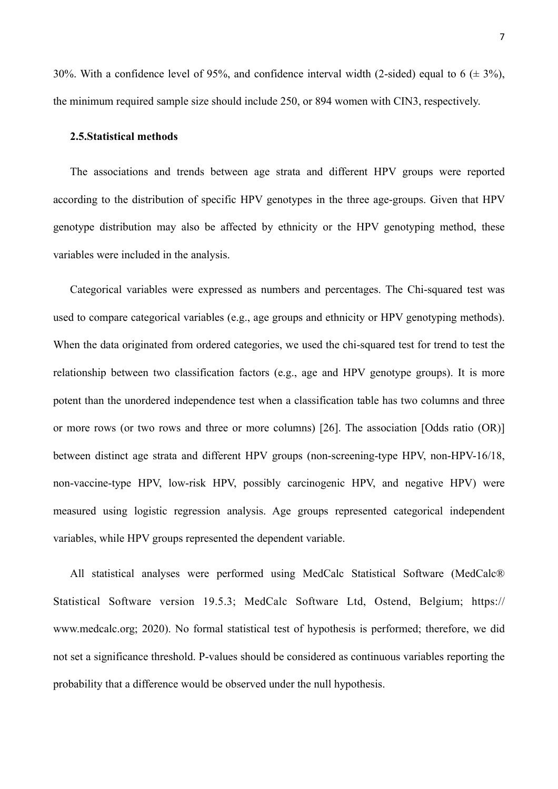30%. With a confidence level of 95%, and confidence interval width (2-sided) equal to 6  $(\pm 3\%)$ , the minimum required sample size should include 250, or 894 women with CIN3, respectively.

## **2.5.Statistical methods**

The associations and trends between age strata and different HPV groups were reported according to the distribution of specific HPV genotypes in the three age-groups. Given that HPV genotype distribution may also be affected by ethnicity or the HPV genotyping method, these variables were included in the analysis.

Categorical variables were expressed as numbers and percentages. The Chi-squared test was used to compare categorical variables (e.g., age groups and ethnicity or HPV genotyping methods). When the data originated from ordered categories, we used the chi-squared test for trend to test the relationship between two classification factors (e.g., age and HPV genotype groups). It is more potent than the unordered independence test when a classification table has two columns and three or more rows (or two rows and three or more columns) [26]. The association [Odds ratio (OR)] between distinct age strata and different HPV groups (non-screening-type HPV, non-HPV-16/18, non-vaccine-type HPV, low-risk HPV, possibly carcinogenic HPV, and negative HPV) were measured using logistic regression analysis. Age groups represented categorical independent variables, while HPV groups represented the dependent variable.

All statistical analyses were performed using MedCalc Statistical Software (MedCalc® Statistical Software version 19.5.3; MedCalc Software Ltd, Ostend, Belgium; https:// www.medcalc.org; 2020). No formal statistical test of hypothesis is performed; therefore, we did not set a significance threshold. P-values should be considered as continuous variables reporting the probability that a difference would be observed under the null hypothesis.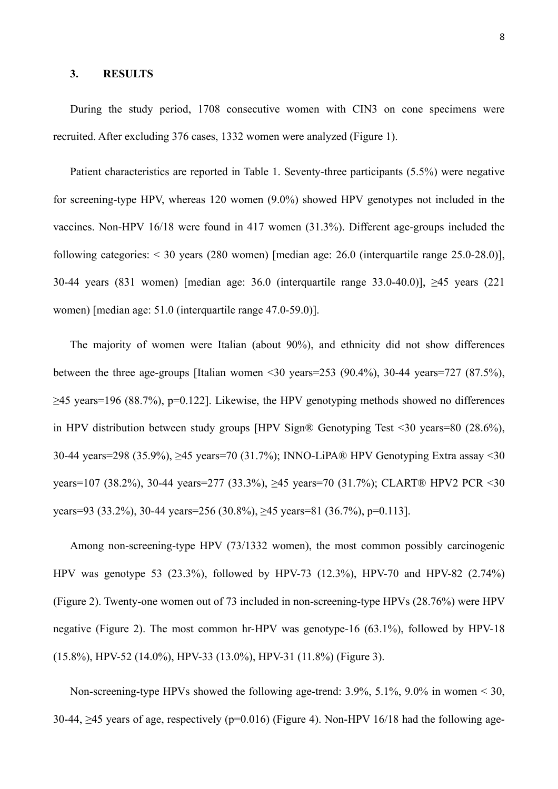#### **3. RESULTS**

During the study period, 1708 consecutive women with CIN3 on cone specimens were recruited. After excluding 376 cases, 1332 women were analyzed (Figure 1).

Patient characteristics are reported in Table 1. Seventy-three participants (5.5%) were negative for screening-type HPV, whereas 120 women (9.0%) showed HPV genotypes not included in the vaccines. Non-HPV 16/18 were found in 417 women (31.3%). Different age-groups included the following categories: < 30 years (280 women) [median age: 26.0 (interquartile range 25.0-28.0)], 30-44 years (831 women) [median age: 36.0 (interquartile range 33.0-40.0)], ≥45 years (221 women) [median age: 51.0 (interquartile range 47.0-59.0)].

The majority of women were Italian (about 90%), and ethnicity did not show differences between the three age-groups [Italian women <30 years=253 (90.4%), 30-44 years=727 (87.5%),  $\geq$ 45 years=196 (88.7%), p=0.122]. Likewise, the HPV genotyping methods showed no differences in HPV distribution between study groups [HPV Sign® Genotyping Test <30 years=80 (28.6%), 30-44 years=298 (35.9%), ≥45 years=70 (31.7%); INNO-LiPA® HPV Genotyping Extra assay <30 years=107 (38.2%), 30-44 years=277 (33.3%), ≥45 years=70 (31.7%); CLART® HPV2 PCR <30 years=93 (33.2%), 30-44 years=256 (30.8%), ≥45 years=81 (36.7%), p=0.113].

Among non-screening-type HPV (73/1332 women), the most common possibly carcinogenic HPV was genotype 53 (23.3%), followed by HPV-73 (12.3%), HPV-70 and HPV-82 (2.74%) (Figure 2). Twenty-one women out of 73 included in non-screening-type HPVs (28.76%) were HPV negative (Figure 2). The most common hr-HPV was genotype-16 (63.1%), followed by HPV-18 (15.8%), HPV-52 (14.0%), HPV-33 (13.0%), HPV-31 (11.8%) (Figure 3).

Non-screening-type HPVs showed the following age-trend: 3.9%, 5.1%, 9.0% in women < 30, 30-44, ≥45 years of age, respectively (p=0.016) (Figure 4). Non-HPV 16/18 had the following age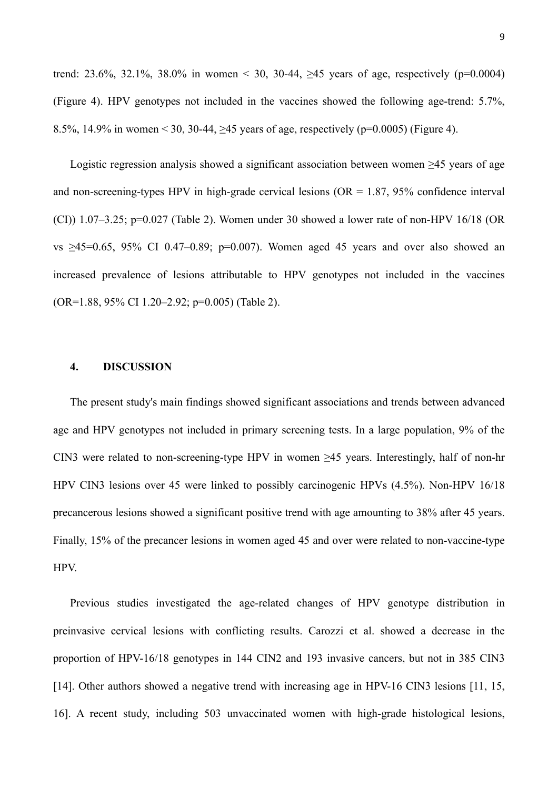trend: 23.6%, 32.1%, 38.0% in women < 30, 30-44,  $\geq$ 45 years of age, respectively (p=0.0004) (Figure 4). HPV genotypes not included in the vaccines showed the following age-trend: 5.7%, 8.5%, 14.9% in women < 30, 30-44,  $\geq$ 45 years of age, respectively (p=0.0005) (Figure 4).

Logistic regression analysis showed a significant association between women ≥45 years of age and non-screening-types HPV in high-grade cervical lesions ( $OR = 1.87$ , 95% confidence interval (CI))  $1.07-3.25$ ; p=0.027 (Table 2). Women under 30 showed a lower rate of non-HPV 16/18 (OR  $vs \ge 45=0.65$ , 95% CI 0.47–0.89; p=0.007). Women aged 45 years and over also showed an increased prevalence of lesions attributable to HPV genotypes not included in the vaccines (OR=1.88, 95% CI 1.20–2.92; p=0.005) (Table 2).

## **4. DISCUSSION**

The present study's main findings showed significant associations and trends between advanced age and HPV genotypes not included in primary screening tests. In a large population, 9% of the CIN3 were related to non-screening-type HPV in women  $\geq$ 45 years. Interestingly, half of non-hr HPV CIN3 lesions over 45 were linked to possibly carcinogenic HPVs (4.5%). Non-HPV 16/18 precancerous lesions showed a significant positive trend with age amounting to 38% after 45 years. Finally, 15% of the precancer lesions in women aged 45 and over were related to non-vaccine-type HPV.

Previous studies investigated the age-related changes of HPV genotype distribution in preinvasive cervical lesions with conflicting results. Carozzi et al. showed a decrease in the proportion of HPV-16/18 genotypes in 144 CIN2 and 193 invasive cancers, but not in 385 CIN3 [14]. Other authors showed a negative trend with increasing age in HPV-16 CIN3 lesions [11, 15, 16]. A recent study, including 503 unvaccinated women with high-grade histological lesions,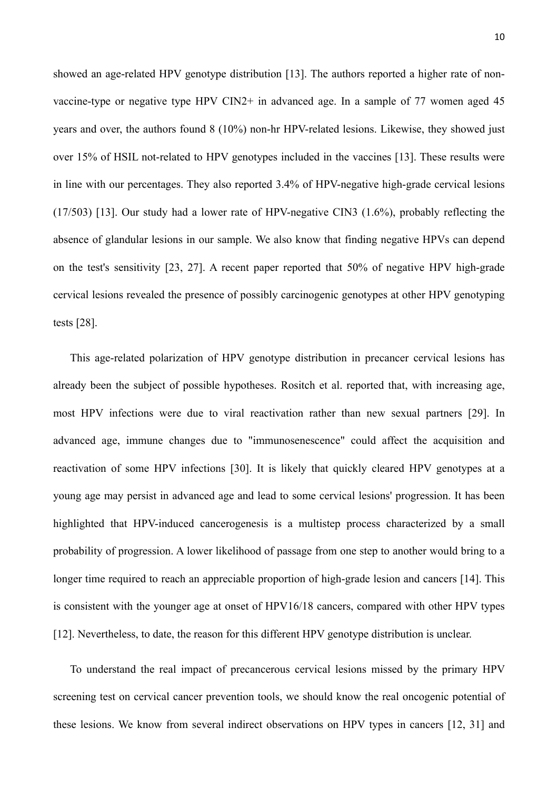showed an age-related HPV genotype distribution [13]. The authors reported a higher rate of nonvaccine-type or negative type HPV CIN2+ in advanced age. In a sample of 77 women aged 45 years and over, the authors found 8 (10%) non-hr HPV-related lesions. Likewise, they showed just over 15% of HSIL not-related to HPV genotypes included in the vaccines [13]. These results were in line with our percentages. They also reported 3.4% of HPV-negative high-grade cervical lesions (17/503) [13]. Our study had a lower rate of HPV-negative CIN3 (1.6%), probably reflecting the absence of glandular lesions in our sample. We also know that finding negative HPVs can depend on the test's sensitivity [23, 27]. A recent paper reported that 50% of negative HPV high-grade cervical lesions revealed the presence of possibly carcinogenic genotypes at other HPV genotyping tests [28].

This age-related polarization of HPV genotype distribution in precancer cervical lesions has already been the subject of possible hypotheses. Rositch et al. reported that, with increasing age, most HPV infections were due to viral reactivation rather than new sexual partners [29]. In advanced age, immune changes due to "immunosenescence" could affect the acquisition and reactivation of some HPV infections [30]. It is likely that quickly cleared HPV genotypes at a young age may persist in advanced age and lead to some cervical lesions' progression. It has been highlighted that HPV-induced cancerogenesis is a multistep process characterized by a small probability of progression. A lower likelihood of passage from one step to another would bring to a longer time required to reach an appreciable proportion of high-grade lesion and cancers [14]. This is consistent with the younger age at onset of HPV16/18 cancers, compared with other HPV types [12]. Nevertheless, to date, the reason for this different HPV genotype distribution is unclear.

To understand the real impact of precancerous cervical lesions missed by the primary HPV screening test on cervical cancer prevention tools, we should know the real oncogenic potential of these lesions. We know from several indirect observations on HPV types in cancers [12, 31] and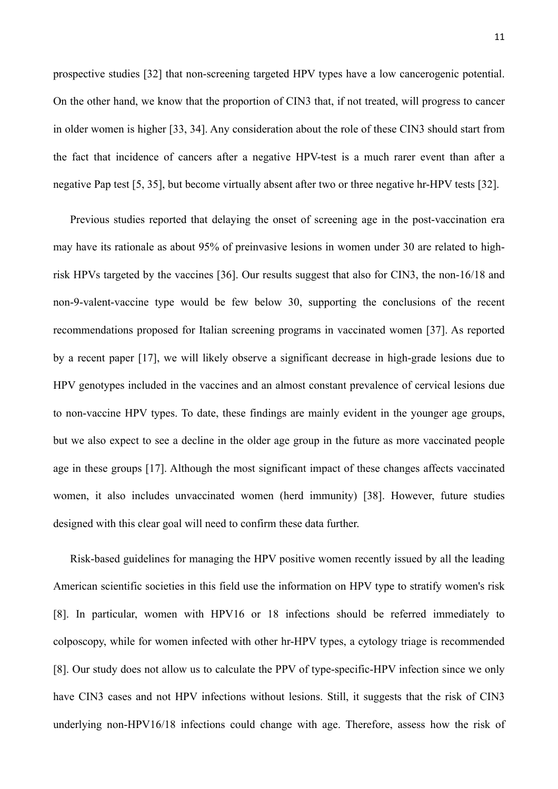prospective studies [32] that non-screening targeted HPV types have a low cancerogenic potential. On the other hand, we know that the proportion of CIN3 that, if not treated, will progress to cancer in older women is higher [33, 34]. Any consideration about the role of these CIN3 should start from the fact that incidence of cancers after a negative HPV-test is a much rarer event than after a negative Pap test [5, 35], but become virtually absent after two or three negative hr-HPV tests [32].

Previous studies reported that delaying the onset of screening age in the post-vaccination era may have its rationale as about 95% of preinvasive lesions in women under 30 are related to highrisk HPVs targeted by the vaccines [36]. Our results suggest that also for CIN3, the non-16/18 and non-9-valent-vaccine type would be few below 30, supporting the conclusions of the recent recommendations proposed for Italian screening programs in vaccinated women [37]. As reported by a recent paper [17], we will likely observe a significant decrease in high-grade lesions due to HPV genotypes included in the vaccines and an almost constant prevalence of cervical lesions due to non-vaccine HPV types. To date, these findings are mainly evident in the younger age groups, but we also expect to see a decline in the older age group in the future as more vaccinated people age in these groups [17]. Although the most significant impact of these changes affects vaccinated women, it also includes unvaccinated women (herd immunity) [38]. However, future studies designed with this clear goal will need to confirm these data further.

Risk-based guidelines for managing the HPV positive women recently issued by all the leading American scientific societies in this field use the information on HPV type to stratify women's risk [8]. In particular, women with HPV16 or 18 infections should be referred immediately to colposcopy, while for women infected with other hr-HPV types, a cytology triage is recommended [8]. Our study does not allow us to calculate the PPV of type-specific-HPV infection since we only have CIN3 cases and not HPV infections without lesions. Still, it suggests that the risk of CIN3 underlying non-HPV16/18 infections could change with age. Therefore, assess how the risk of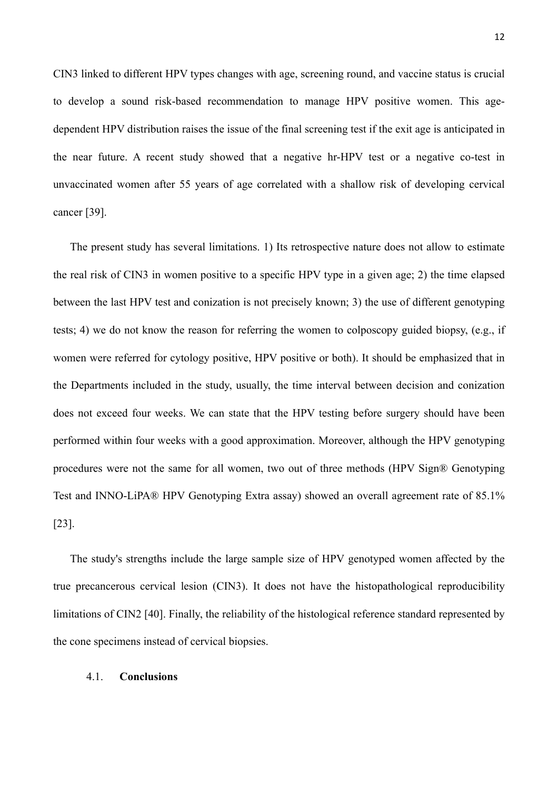CIN3 linked to different HPV types changes with age, screening round, and vaccine status is crucial to develop a sound risk-based recommendation to manage HPV positive women. This agedependent HPV distribution raises the issue of the final screening test if the exit age is anticipated in the near future. A recent study showed that a negative hr-HPV test or a negative co-test in unvaccinated women after 55 years of age correlated with a shallow risk of developing cervical cancer [39].

The present study has several limitations. 1) Its retrospective nature does not allow to estimate the real risk of CIN3 in women positive to a specific HPV type in a given age; 2) the time elapsed between the last HPV test and conization is not precisely known; 3) the use of different genotyping tests; 4) we do not know the reason for referring the women to colposcopy guided biopsy, (e.g., if women were referred for cytology positive, HPV positive or both). It should be emphasized that in the Departments included in the study, usually, the time interval between decision and conization does not exceed four weeks. We can state that the HPV testing before surgery should have been performed within four weeks with a good approximation. Moreover, although the HPV genotyping procedures were not the same for all women, two out of three methods (HPV Sign® Genotyping Test and INNO-LiPA® HPV Genotyping Extra assay) showed an overall agreement rate of 85.1% [23].

The study's strengths include the large sample size of HPV genotyped women affected by the true precancerous cervical lesion (CIN3). It does not have the histopathological reproducibility limitations of CIN2 [40]. Finally, the reliability of the histological reference standard represented by the cone specimens instead of cervical biopsies.

## 4.1. **Conclusions**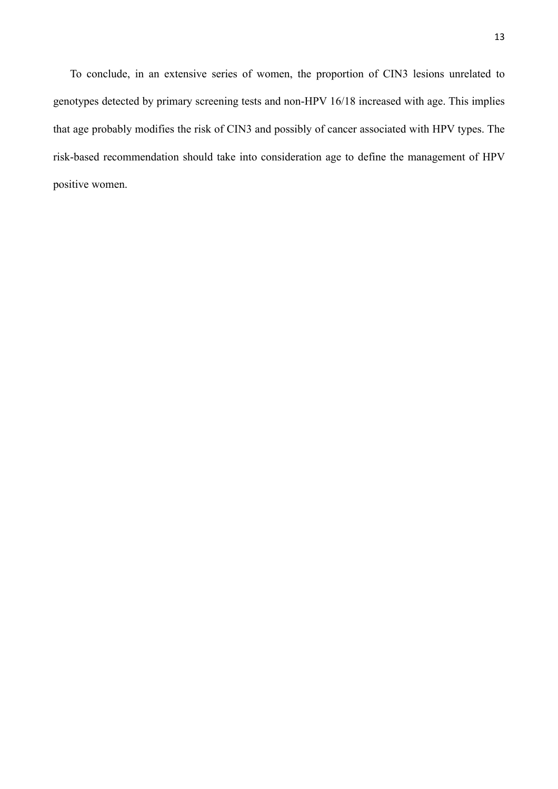To conclude, in an extensive series of women, the proportion of CIN3 lesions unrelated to genotypes detected by primary screening tests and non-HPV 16/18 increased with age. This implies that age probably modifies the risk of CIN3 and possibly of cancer associated with HPV types. The risk-based recommendation should take into consideration age to define the management of HPV positive women.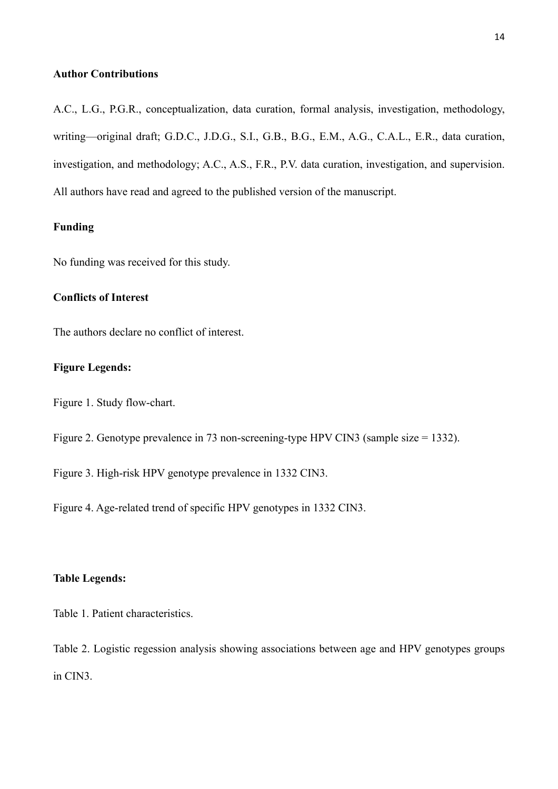## **Author Contributions**

A.C., L.G., P.G.R., conceptualization, data curation, formal analysis, investigation, methodology, writing—original draft; G.D.C., J.D.G., S.I., G.B., B.G., E.M., A.G., C.A.L., E.R., data curation, investigation, and methodology; A.C., A.S., F.R., P.V. data curation, investigation, and supervision. All authors have read and agreed to the published version of the manuscript.

# **Funding**

No funding was received for this study.

## **Conflicts of Interest**

The authors declare no conflict of interest.

## **Figure Legends:**

Figure 1. Study flow-chart.

Figure 2. Genotype prevalence in 73 non-screening-type HPV CIN3 (sample size = 1332).

Figure 3. High-risk HPV genotype prevalence in 1332 CIN3.

Figure 4. Age-related trend of specific HPV genotypes in 1332 CIN3.

## **Table Legends:**

Table 1. Patient characteristics.

Table 2. Logistic regession analysis showing associations between age and HPV genotypes groups in CIN3.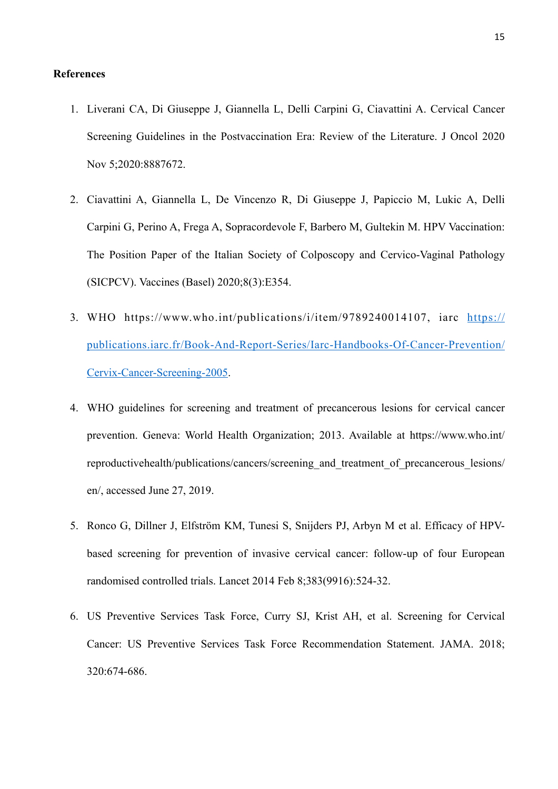### **References**

- 1. Liverani CA, Di Giuseppe J, Giannella L, Delli Carpini G, Ciavattini A. Cervical Cancer Screening Guidelines in the Postvaccination Era: Review of the Literature. J Oncol 2020 Nov 5;2020:8887672.
- 2. Ciavattini A, Giannella L, De Vincenzo R, Di Giuseppe J, Papiccio M, Lukic A, Delli Carpini G, Perino A, Frega A, Sopracordevole F, Barbero M, Gultekin M. HPV Vaccination: The Position Paper of the Italian Society of Colposcopy and Cervico-Vaginal Pathology (SICPCV). Vaccines (Basel) 2020;8(3):E354.
- 3. WHO https://www.who.int/publications/i/item/9789240014107, iarc [https://](https://publications.iarc.fr/Book-And-Report-Series/Iarc-Handbooks-Of-Cancer-Prevention/Cervix-Cancer-Screening-2005) [publications.iarc.fr/Book-And-Report-Series/Iarc-Handbooks-Of-Cancer-Prevention/](https://publications.iarc.fr/Book-And-Report-Series/Iarc-Handbooks-Of-Cancer-Prevention/Cervix-Cancer-Screening-2005) [Cervix-Cancer-Screening-2005](https://publications.iarc.fr/Book-And-Report-Series/Iarc-Handbooks-Of-Cancer-Prevention/Cervix-Cancer-Screening-2005).
- 4. WHO guidelines for screening and treatment of precancerous lesions for cervical cancer prevention. Geneva: World Health Organization; 2013. Available at https://www.who.int/ reproductivehealth/publications/cancers/screening\_and\_treatment\_of\_precancerous\_lesions/ en/, accessed June 27, 2019.
- 5. Ronco G, Dillner J, Elfström KM, Tunesi S, Snijders PJ, Arbyn M et al. Efficacy of HPVbased screening for prevention of invasive cervical cancer: follow-up of four European randomised controlled trials. Lancet 2014 Feb 8;383(9916):524-32.
- 6. US Preventive Services Task Force, Curry SJ, Krist AH, et al. Screening for Cervical Cancer: US Preventive Services Task Force Recommendation Statement. JAMA. 2018; 320:674-686.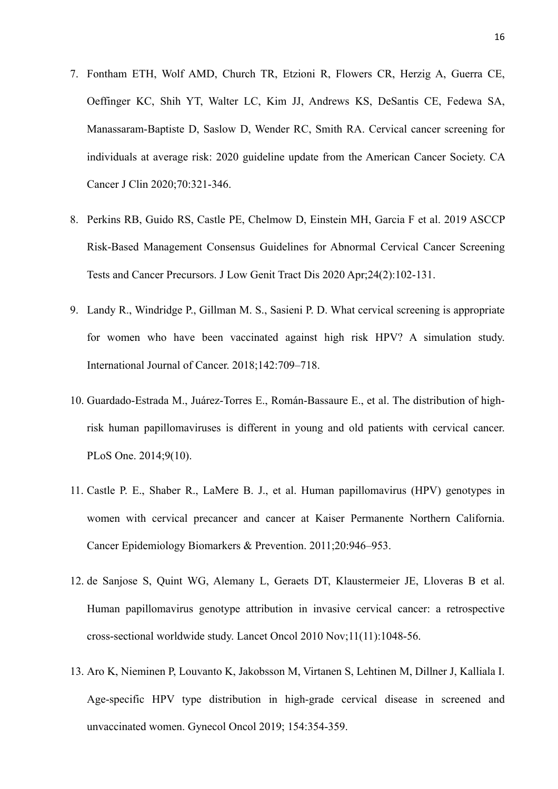- 7. Fontham ETH, Wolf AMD, Church TR, Etzioni R, Flowers CR, Herzig A, Guerra CE, Oeffinger KC, Shih YT, Walter LC, Kim JJ, Andrews KS, DeSantis CE, Fedewa SA, Manassaram-Baptiste D, Saslow D, Wender RC, Smith RA. Cervical cancer screening for individuals at average risk: 2020 guideline update from the American Cancer Society. CA Cancer J Clin 2020;70:321-346.
- 8. Perkins RB, Guido RS, Castle PE, Chelmow D, Einstein MH, Garcia F et al. 2019 ASCCP Risk-Based Management Consensus Guidelines for Abnormal Cervical Cancer Screening Tests and Cancer Precursors. J Low Genit Tract Dis 2020 Apr;24(2):102-131.
- 9. Landy R., Windridge P., Gillman M. S., Sasieni P. D. What cervical screening is appropriate for women who have been vaccinated against high risk HPV? A simulation study. International Journal of Cancer. 2018;142:709–718.
- 10. Guardado-Estrada M., Juárez-Torres E., Román-Bassaure E., et al. The distribution of highrisk human papillomaviruses is different in young and old patients with cervical cancer. PLoS One. 2014;9(10).
- 11. Castle P. E., Shaber R., LaMere B. J., et al. Human papillomavirus (HPV) genotypes in women with cervical precancer and cancer at Kaiser Permanente Northern California. Cancer Epidemiology Biomarkers & Prevention. 2011;20:946–953.
- 12. de Sanjose S, Quint WG, Alemany L, Geraets DT, Klaustermeier JE, Lloveras B et al. Human papillomavirus genotype attribution in invasive cervical cancer: a retrospective cross-sectional worldwide study. Lancet Oncol 2010 Nov;11(11):1048-56.
- 13. Aro K, Nieminen P, Louvanto K, Jakobsson M, Virtanen S, Lehtinen M, Dillner J, Kalliala I. Age-specific HPV type distribution in high-grade cervical disease in screened and unvaccinated women. Gynecol Oncol 2019; 154:354-359.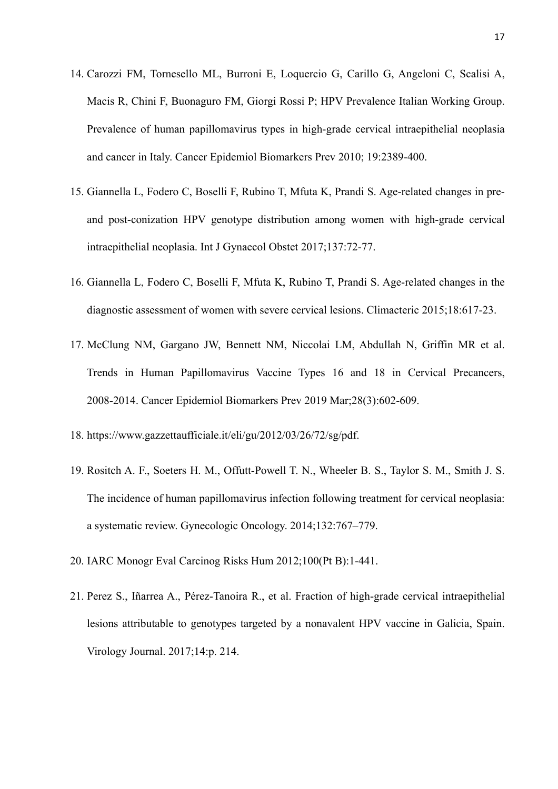- 14. Carozzi FM, Tornesello ML, Burroni E, Loquercio G, Carillo G, Angeloni C, Scalisi A, Macis R, Chini F, Buonaguro FM, Giorgi Rossi P; HPV Prevalence Italian Working Group. Prevalence of human papillomavirus types in high-grade cervical intraepithelial neoplasia and cancer in Italy. Cancer Epidemiol Biomarkers Prev 2010; 19:2389-400.
- 15. Giannella L, Fodero C, Boselli F, Rubino T, Mfuta K, Prandi S. Age-related changes in preand post-conization HPV genotype distribution among women with high-grade cervical intraepithelial neoplasia. Int J Gynaecol Obstet 2017;137:72-77.
- 16. Giannella L, Fodero C, Boselli F, Mfuta K, Rubino T, Prandi S. Age-related changes in the diagnostic assessment of women with severe cervical lesions. Climacteric 2015;18:617-23.
- 17. McClung NM, Gargano JW, Bennett NM, Niccolai LM, Abdullah N, Griffin MR et al. Trends in Human Papillomavirus Vaccine Types 16 and 18 in Cervical Precancers, 2008-2014. Cancer Epidemiol Biomarkers Prev 2019 Mar;28(3):602-609.
- 18. https://www.gazzettaufficiale.it/eli/gu/2012/03/26/72/sg/pdf.
- 19. Rositch A. F., Soeters H. M., Offutt-Powell T. N., Wheeler B. S., Taylor S. M., Smith J. S. The incidence of human papillomavirus infection following treatment for cervical neoplasia: a systematic review. Gynecologic Oncology. 2014;132:767–779.
- 20. IARC Monogr Eval Carcinog Risks Hum 2012;100(Pt B):1-441.
- 21. Perez S., Iñarrea A., Pérez-Tanoira R., et al. Fraction of high-grade cervical intraepithelial lesions attributable to genotypes targeted by a nonavalent HPV vaccine in Galicia, Spain. Virology Journal. 2017;14:p. 214.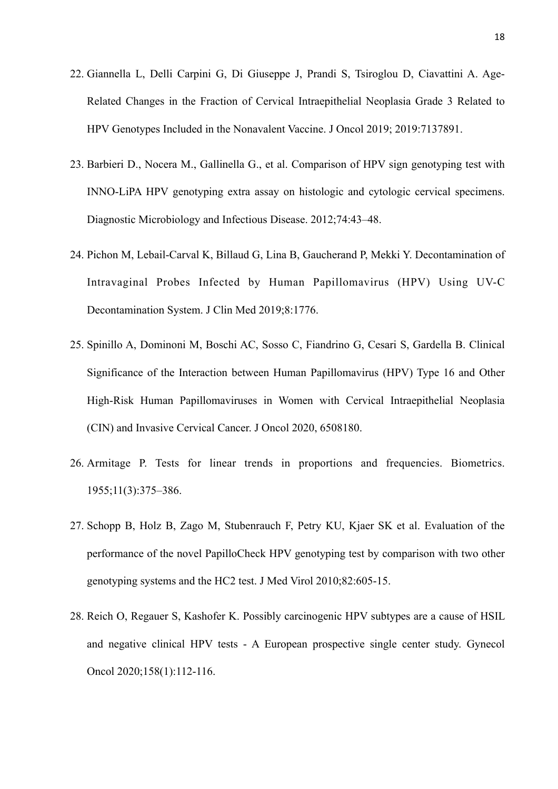- 22. Giannella L, Delli Carpini G, Di Giuseppe J, Prandi S, Tsiroglou D, Ciavattini A. Age-Related Changes in the Fraction of Cervical Intraepithelial Neoplasia Grade 3 Related to HPV Genotypes Included in the Nonavalent Vaccine. J Oncol 2019; 2019:7137891.
- 23. Barbieri D., Nocera M., Gallinella G., et al. Comparison of HPV sign genotyping test with INNO-LiPA HPV genotyping extra assay on histologic and cytologic cervical specimens. Diagnostic Microbiology and Infectious Disease. 2012;74:43–48.
- 24. Pichon M, Lebail-Carval K, Billaud G, Lina B, Gaucherand P, Mekki Y. Decontamination of Intravaginal Probes Infected by Human Papillomavirus (HPV) Using UV-C Decontamination System. J Clin Med 2019;8:1776.
- 25. Spinillo A, Dominoni M, Boschi AC, Sosso C, Fiandrino G, Cesari S, Gardella B. Clinical Significance of the Interaction between Human Papillomavirus (HPV) Type 16 and Other High-Risk Human Papillomaviruses in Women with Cervical Intraepithelial Neoplasia (CIN) and Invasive Cervical Cancer. J Oncol 2020, 6508180.
- 26. Armitage P. Tests for linear trends in proportions and frequencies. Biometrics. 1955;11(3):375–386.
- 27. Schopp B, Holz B, Zago M, Stubenrauch F, Petry KU, Kjaer SK et al. Evaluation of the performance of the novel PapilloCheck HPV genotyping test by comparison with two other genotyping systems and the HC2 test. J Med Virol 2010;82:605-15.
- 28. Reich O, Regauer S, Kashofer K. Possibly carcinogenic HPV subtypes are a cause of HSIL and negative clinical HPV tests - A European prospective single center study. Gynecol Oncol 2020;158(1):112-116.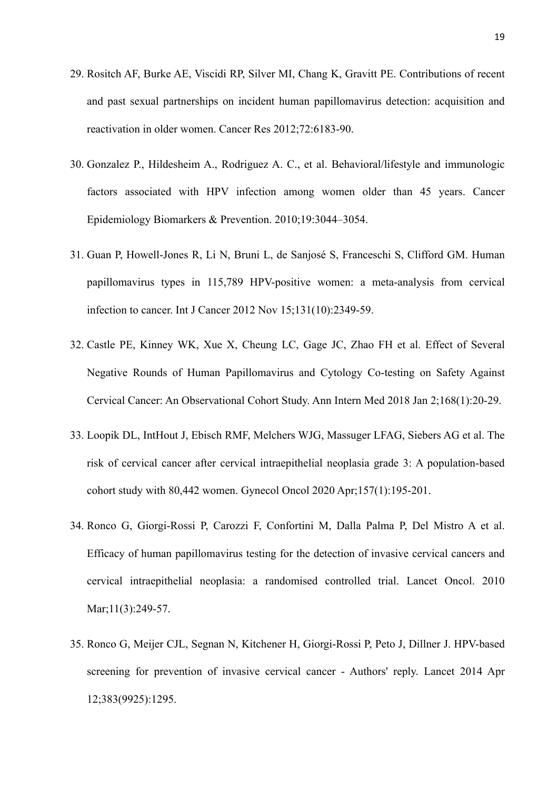- 29. Rositch AF, Burke AE, Viscidi RP, Silver MI, Chang K, Gravitt PE. Contributions of recent and past sexual partnerships on incident human papillomavirus detection: acquisition and reactivation in older women. Cancer Res 2012;72:6183-90.
- 30. Gonzalez P., Hildesheim A., Rodriguez A. C., et al. Behavioral/lifestyle and immunologic factors associated with HPV infection among women older than 45 years. Cancer Epidemiology Biomarkers & Prevention. 2010;19:3044–3054.
- 31. Guan P, Howell-Jones R, Li N, Bruni L, de Sanjosé S, Franceschi S, Clifford GM. Human papillomavirus types in 115,789 HPV-positive women: a meta-analysis from cervical infection to cancer. Int J Cancer 2012 Nov 15;131(10):2349-59.
- 32. Castle PE, Kinney WK, Xue X, Cheung LC, Gage JC, Zhao FH et al. Effect of Several Negative Rounds of Human Papillomavirus and Cytology Co-testing on Safety Against Cervical Cancer: An Observational Cohort Study. Ann Intern Med 2018 Jan 2;168(1):20-29.
- 33. Loopik DL, IntHout J, Ebisch RMF, Melchers WJG, Massuger LFAG, Siebers AG et al. The risk of cervical cancer after cervical intraepithelial neoplasia grade 3: A population-based cohort study with 80,442 women. Gynecol Oncol 2020 Apr;157(1):195-201.
- 34. Ronco G, Giorgi-Rossi P, Carozzi F, Confortini M, Dalla Palma P, Del Mistro A et al. Efficacy of human papillomavirus testing for the detection of invasive cervical cancers and cervical intraepithelial neoplasia: a randomised controlled trial. Lancet Oncol. 2010 Mar;11(3):249-57.
- 35. Ronco G, Meijer CJL, Segnan N, Kitchener H, Giorgi-Rossi P, Peto J, Dillner J. HPV-based screening for prevention of invasive cervical cancer - Authors' reply. Lancet 2014 Apr 12;383(9925):1295.